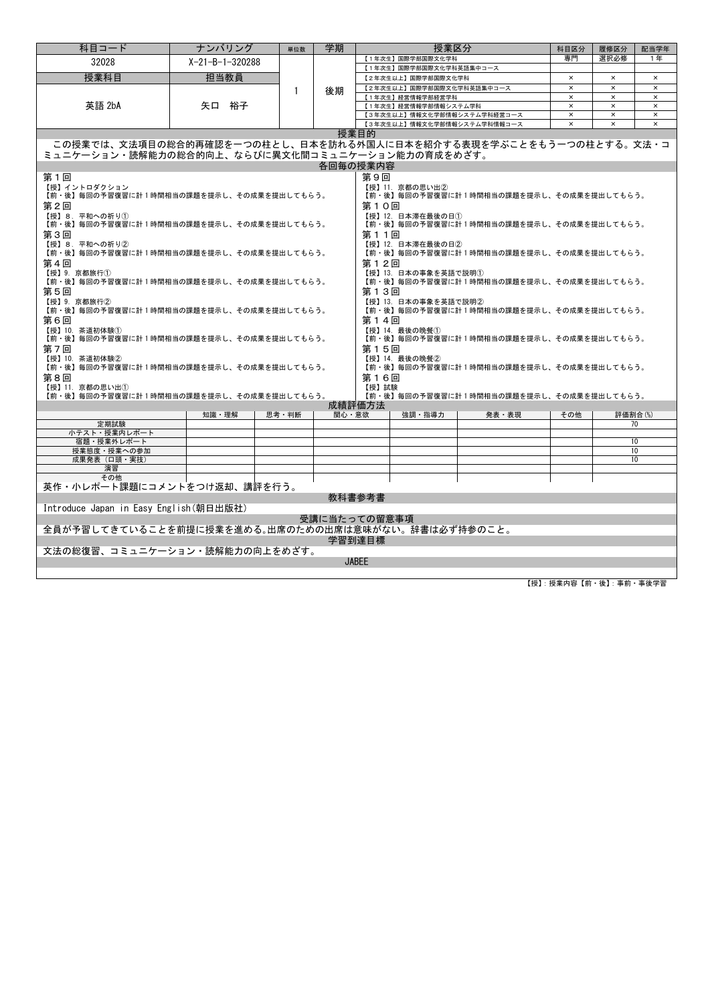| 科目コード                                                                     | ナンバリング                    | 単位数          | 学期    | 授業区分                                                                              |                                          | 科目区分     | 履修区分           | 配当学年           |  |  |
|---------------------------------------------------------------------------|---------------------------|--------------|-------|-----------------------------------------------------------------------------------|------------------------------------------|----------|----------------|----------------|--|--|
| 32028                                                                     | $X - 21 - B - 1 - 320288$ |              |       | 【1年次生】国際学部国際文化学科                                                                  | 専門                                       | 選択必修     | 1年             |                |  |  |
| 授業科目                                                                      | 担当教員                      |              |       | 【1年次生】国際学部国際文化学科英語集中コース<br>【2年次生以上】国際学部国際文化学科<br>$\times$<br>$\times$<br>$\times$ |                                          |          |                |                |  |  |
|                                                                           |                           |              |       | 【2年次生以上】国際学部国際文化学科英語集中コース                                                         |                                          | $\times$ | $\times$       | $\times$       |  |  |
|                                                                           |                           | $\mathbf{1}$ | 後期    | 【1年次生】経営情報学部経営学科                                                                  |                                          | $\times$ | $\times$       | $\pmb{\times}$ |  |  |
| 英語 2bA                                                                    | 矢口 裕子                     |              |       | 【1年次生】経営情報学部情報システム学科                                                              |                                          | $\times$ | $\times$       | $\times$       |  |  |
|                                                                           |                           |              |       | 【3年次生以上】情報文化学部情報システム学科経営コース                                                       |                                          | $\times$ | $\times$       | $\times$       |  |  |
|                                                                           |                           |              |       | 【3年次生以上】情報文化学部情報システム学科情報コース                                                       |                                          | $\times$ | $\pmb{\times}$ | $\times$       |  |  |
| 授業目的<br>この授業では、文法項目の総合的再確認を一つの柱とし、日本を訪れる外国人に日本を紹介する表現を学ぶことをもう一つの柱とする。文法・コ |                           |              |       |                                                                                   |                                          |          |                |                |  |  |
|                                                                           |                           |              |       |                                                                                   |                                          |          |                |                |  |  |
| ミュニケーション・読解能力の総合的向上、ならびに異文化間コミュニケーション能力の育成をめざす。                           |                           |              |       |                                                                                   |                                          |          |                |                |  |  |
|                                                                           |                           |              |       | 各回毎の授業内容                                                                          |                                          |          |                |                |  |  |
| 第1回                                                                       |                           |              |       | 第9回                                                                               |                                          |          |                |                |  |  |
| 【授】イントロダクション<br>【前・後】毎回の予習復習に計1時間相当の課題を提示し、その成果を提出してもらう。                  |                           |              |       | 【授】11. 京都の思い出2                                                                    | 【前・後】毎回の予習復習に計1時間相当の課題を提示し、その成果を提出してもらう。 |          |                |                |  |  |
| 第2回                                                                       |                           |              |       | 第10回                                                                              |                                          |          |                |                |  |  |
| 【授】8. 平和への祈り①                                                             |                           |              |       | 【授】12. 日本滞在最後の日①                                                                  |                                          |          |                |                |  |  |
| 【前・後】毎回の予習復習に計1時間相当の課題を提示し、その成果を提出してもらう。                                  |                           |              |       |                                                                                   | 【前・後】毎回の予習復習に計1時間相当の課題を提示し、その成果を提出してもらう。 |          |                |                |  |  |
| 第3回                                                                       |                           |              |       | 第11回                                                                              |                                          |          |                |                |  |  |
| 【授】8.平和への祈り②                                                              |                           |              |       | 【授】12. 日本滞在最後の日②                                                                  |                                          |          |                |                |  |  |
| 【前・後】毎回の予習復習に計1時間相当の課題を提示し、その成果を提出してもらう。                                  |                           |              |       |                                                                                   | 【前・後】毎回の予習復習に計1時間相当の課題を提示し、その成果を提出してもらう。 |          |                |                |  |  |
| 第4回                                                                       |                           |              |       | 第12回                                                                              |                                          |          |                |                |  |  |
| 【授】9. 京都旅行①<br>【前・後】毎回の予習復習に計1時間相当の課題を提示し、その成果を提出してもらう。                   |                           |              |       | 【授】13. 日本の事象を英語で説明(1)                                                             | 【前・後】毎回の予習復習に計1時間相当の課題を提示し、その成果を提出してもらう。 |          |                |                |  |  |
| 第5回                                                                       |                           |              |       | 第13回                                                                              |                                          |          |                |                |  |  |
| 【授】9. 京都旅行②                                                               |                           |              |       | 【授】13. 日本の事象を英語で説明②                                                               |                                          |          |                |                |  |  |
| 【前・後】毎回の予習復習に計1時間相当の課題を提示し、その成果を提出してもらう。                                  |                           |              |       |                                                                                   | 【前・後】毎回の予習復習に計1時間相当の課題を提示し、その成果を提出してもらう。 |          |                |                |  |  |
| 第6回                                                                       |                           |              |       | 第14回                                                                              |                                          |          |                |                |  |  |
| 【授】10. 茶道初体験①                                                             |                           |              |       | 【授】14. 最後の晩餐①                                                                     |                                          |          |                |                |  |  |
| 【前・後】毎回の予習復習に計1時間相当の課題を提示し、その成果を提出してもらう。                                  |                           |              |       |                                                                                   | 【前・後】毎回の予習復習に計1時間相当の課題を提示し、その成果を提出してもらう。 |          |                |                |  |  |
| 第7回                                                                       |                           |              |       | 第15回                                                                              |                                          |          |                |                |  |  |
| 【授】10. 茶道初体験②<br>【前・後】毎回の予習復習に計1時間相当の課題を提示し、その成果を提出してもらう。                 |                           |              |       | 【授】14. 最後の晩餐②                                                                     | 【前・後】毎回の予習復習に計1時間相当の課題を提示し、その成果を提出してもらう。 |          |                |                |  |  |
| 第8回                                                                       |                           |              |       | 第16回                                                                              |                                          |          |                |                |  |  |
| 【授】11. 京都の思い出①                                                            |                           |              |       | 【授】試験                                                                             |                                          |          |                |                |  |  |
| 【前・後】毎回の予習復習に計1時間相当の課題を提示し、その成果を提出してもらう。                                  |                           |              |       |                                                                                   | 【前・後】毎回の予習復習に計1時間相当の課題を提示し、その成果を提出してもらう。 |          |                |                |  |  |
|                                                                           |                           |              |       | 成績評価方法                                                                            |                                          |          |                |                |  |  |
|                                                                           | 知識 理解                     | 思考·判断        | 関心・意欲 | 強調・指導力                                                                            | 発表・表現                                    | その他      | 評価割合(%)        |                |  |  |
| 定期試験<br>小テスト・授業内レポート                                                      |                           |              |       |                                                                                   |                                          |          |                | 70             |  |  |
| 宿題・授業外レポート                                                                |                           |              |       |                                                                                   |                                          |          |                | 10             |  |  |
| 授業態度・授業への参加                                                               |                           |              |       |                                                                                   |                                          |          |                | 10             |  |  |
| 成果発表 (口頭·実技)                                                              |                           |              |       |                                                                                   |                                          |          |                | 10             |  |  |
| 演習                                                                        |                           |              |       |                                                                                   |                                          |          |                |                |  |  |
| その他                                                                       |                           |              |       |                                                                                   |                                          |          |                |                |  |  |
| 英作・小レポート課題にコメントをつけ返却、講評を行う。<br>教科書参考書                                     |                           |              |       |                                                                                   |                                          |          |                |                |  |  |
| Introduce Japan in Easy English(朝日出版社)                                    |                           |              |       |                                                                                   |                                          |          |                |                |  |  |
| 受講に当たっての留意事項                                                              |                           |              |       |                                                                                   |                                          |          |                |                |  |  |
| 全員が予習してきていることを前提に授業を進める。出席のための出席は意味がない。 辞書は必ず持参のこと。                       |                           |              |       |                                                                                   |                                          |          |                |                |  |  |
|                                                                           |                           |              |       | 学習到達目標                                                                            |                                          |          |                |                |  |  |
| 文法の総復習、コミュニケーション・読解能力の向上をめざす。                                             |                           |              |       |                                                                                   |                                          |          |                |                |  |  |
|                                                                           |                           |              |       | <b>JABEE</b>                                                                      |                                          |          |                |                |  |  |
|                                                                           |                           |              |       |                                                                                   |                                          |          |                |                |  |  |
|                                                                           |                           |              |       |                                                                                   |                                          |          |                |                |  |  |

【授】:授業内容【前・後】:事前・事後学習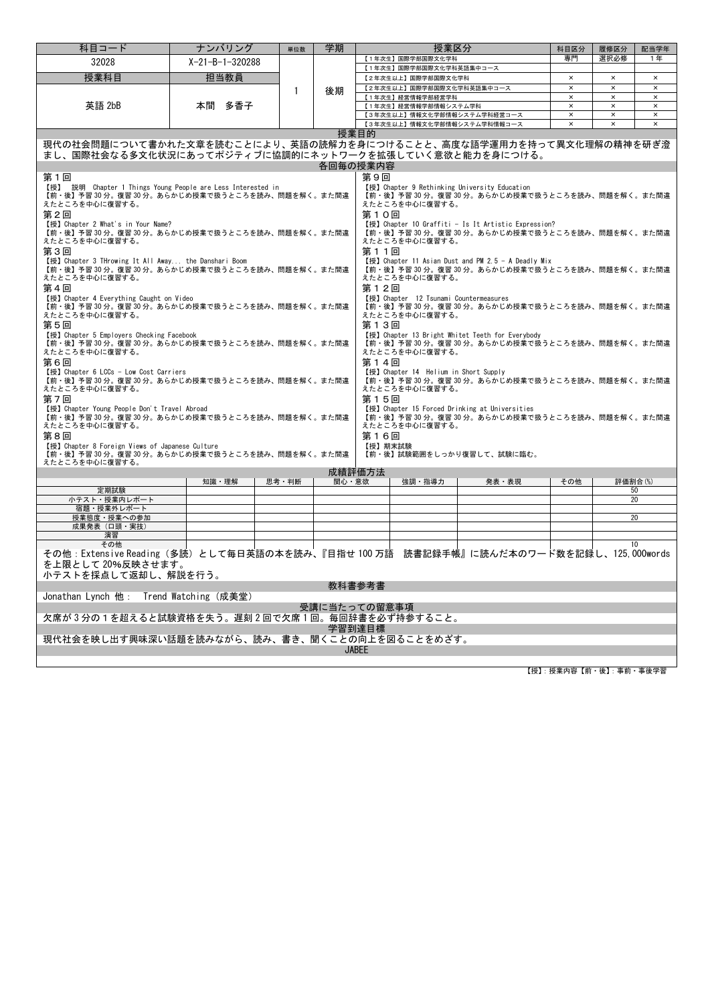| 科目コード                                                                                                           | ナンバリング                                                                                                                                                                                               | 単位数   | 学期    | 授業区分                                                                                             |       | 科目区分                    | 履修区分                      | 配当学年                       |  |  |  |
|-----------------------------------------------------------------------------------------------------------------|------------------------------------------------------------------------------------------------------------------------------------------------------------------------------------------------------|-------|-------|--------------------------------------------------------------------------------------------------|-------|-------------------------|---------------------------|----------------------------|--|--|--|
| 32028                                                                                                           | $X-21-B-1-320288$                                                                                                                                                                                    |       |       | 【1年次生】国際学部国際文化学科                                                                                 |       | 専門                      | 選択必修                      | 1 年                        |  |  |  |
| 授業科目                                                                                                            | 担当教員                                                                                                                                                                                                 |       |       | 【1年次生】国際学部国際文化学科英語集中コース<br>【2年次生以上】国際学部国際文化学科                                                    |       | $\pmb{\times}$          | $\times$                  | $\times$                   |  |  |  |
|                                                                                                                 |                                                                                                                                                                                                      | 1     | 後期    | 【2年次生以上】国際学部国際文化学科英語集中コース                                                                        |       | $\pmb{\times}$          | $\times$                  | $\pmb{\times}$             |  |  |  |
|                                                                                                                 |                                                                                                                                                                                                      |       |       | 【1年次生】経営情報学部経営学科                                                                                 |       | $\times$                | $\times$                  | $\times$                   |  |  |  |
| 英語 2bB                                                                                                          | 本間 多香子                                                                                                                                                                                               |       |       | 【1年次生】経営情報学部情報システム学科                                                                             |       | $\overline{\mathbf{x}}$ | $\boldsymbol{\mathsf{x}}$ | $\boldsymbol{\mathsf{x}}$  |  |  |  |
|                                                                                                                 |                                                                                                                                                                                                      |       |       | 【3年次生以上】情報文化学部情報システム学科経営コース<br>【3年次生以上】情報文化学部情報システム学科情報コース                                       |       | $\times$<br>$\times$    | $\times$<br>$\times$      | $\pmb{\times}$<br>$\times$ |  |  |  |
|                                                                                                                 |                                                                                                                                                                                                      |       |       | 授業目的                                                                                             |       |                         |                           |                            |  |  |  |
| 現代の社会問題について書かれた文章を読むことにより、英語の読解力を身につけることと、高度な語学運用力を持って異文化理解の精神を研ぎ澄                                              |                                                                                                                                                                                                      |       |       |                                                                                                  |       |                         |                           |                            |  |  |  |
|                                                                                                                 | まし、国際社会なる多文化状況にあってポジティブに協調的にネットワークを拡張していく意欲と能力を身につける。                                                                                                                                                |       |       |                                                                                                  |       |                         |                           |                            |  |  |  |
|                                                                                                                 | 各回毎の授業内容                                                                                                                                                                                             |       |       |                                                                                                  |       |                         |                           |                            |  |  |  |
| 第1回                                                                                                             |                                                                                                                                                                                                      |       |       | 第9回                                                                                              |       |                         |                           |                            |  |  |  |
| 【授】 説明 Chapter 1 Things Young People are Less Interested in<br>【前・後】予習 30 分。復習 30 分。あらかじめ授業で扱うところを読み、問題を解く。また間違 |                                                                                                                                                                                                      |       |       | 【授】Chapter 9 Rethinking University Education<br>【前・後】予習 30 分。復習 30 分。あらかじめ授業で扱うところを読み、問題を解く。また間違 |       |                         |                           |                            |  |  |  |
| えたところを中心に復習する。                                                                                                  |                                                                                                                                                                                                      |       |       | えたところを中心に復習する。                                                                                   |       |                         |                           |                            |  |  |  |
| 第2回                                                                                                             |                                                                                                                                                                                                      |       |       | 第10回                                                                                             |       |                         |                           |                            |  |  |  |
| 【授】 Chapter 2 What's in Your Name?                                                                              |                                                                                                                                                                                                      |       |       | 【授】 Chapter 10 Graffiti - Is It Artistic Expression?                                             |       |                         |                           |                            |  |  |  |
| 【前・後】予習 30 分。復習 30 分。あらかじめ授業で扱うところを読み、問題を解く。また間違<br>えたところを中心に復習する。                                              |                                                                                                                                                                                                      |       |       | 【前・後】予習 30 分。復習 30 分。あらかじめ授業で扱うところを読み、問題を解く。また間違<br>えたところを中心に復習する。                               |       |                         |                           |                            |  |  |  |
| 第3回                                                                                                             |                                                                                                                                                                                                      |       |       | 第11回                                                                                             |       |                         |                           |                            |  |  |  |
| 【授】 Chapter 3 THrowing It All Away the Danshari Boom                                                            |                                                                                                                                                                                                      |       |       | 【授】Chapter 11 Asian Dust and PM 2.5 - A Deadly Mix                                               |       |                         |                           |                            |  |  |  |
| 【前・後】予習 30 分。復習 30 分。あらかじめ授業で扱うところを読み、問題を解く。また間違<br>えたところを中心に復習する。                                              |                                                                                                                                                                                                      |       |       | 【前・後】予習 30 分。復習 30 分。あらかじめ授業で扱うところを読み、問題を解く。また間違<br>えたところを中心に復習する。                               |       |                         |                           |                            |  |  |  |
| 第4回                                                                                                             |                                                                                                                                                                                                      |       |       | 第12回                                                                                             |       |                         |                           |                            |  |  |  |
| 【授】 Chapter 4 Everything Caught on Video                                                                        |                                                                                                                                                                                                      |       |       | 【授】Chapter 12 Tsunami Countermeasures                                                            |       |                         |                           |                            |  |  |  |
| 【前・後】予習 30 分。復習 30 分。あらかじめ授業で扱うところを読み、問題を解く。また間違                                                                |                                                                                                                                                                                                      |       |       | 【前・後】予習 30 分。復習 30 分。あらかじめ授業で扱うところを読み、問題を解く。また間違                                                 |       |                         |                           |                            |  |  |  |
| えたところを中心に復習する。<br>第5回                                                                                           |                                                                                                                                                                                                      |       |       | えたところを中心に復習する。<br>第13回                                                                           |       |                         |                           |                            |  |  |  |
| 【授】Chapter 5 Employers Checking Facebook                                                                        |                                                                                                                                                                                                      |       |       | 【授】Chapter 13 Bright Whitet Teeth for Everybody                                                  |       |                         |                           |                            |  |  |  |
| 【前・後】予習 30分。復習 30分。あらかじめ授業で扱うところを読み、問題を解く。また間違<br>【前・後】予習30分。復習30分。あらかじめ授業で扱うところを読み、問題を解く。また間違                  |                                                                                                                                                                                                      |       |       |                                                                                                  |       |                         |                           |                            |  |  |  |
| えたところを中心に復習する。<br>えたところを中心に復習する。                                                                                |                                                                                                                                                                                                      |       |       |                                                                                                  |       |                         |                           |                            |  |  |  |
| 第6回<br>第14回<br>【授】Chapter 6 LCCs - Low Cost Carriers<br>【授】Chapter 14 Helium in Short Supply                    |                                                                                                                                                                                                      |       |       |                                                                                                  |       |                         |                           |                            |  |  |  |
| 【前・後】予習 30 分。復習 30 分。あらかじめ授業で扱うところを読み、問題を解く。また間違<br>【前・後】予習 30 分。復習 30 分。あらかじめ授業で扱うところを読み、問題を解く。また間違            |                                                                                                                                                                                                      |       |       |                                                                                                  |       |                         |                           |                            |  |  |  |
| えたところを中心に復習する。<br>えたところを中心に復習する。                                                                                |                                                                                                                                                                                                      |       |       |                                                                                                  |       |                         |                           |                            |  |  |  |
| 第7回<br>第15回                                                                                                     |                                                                                                                                                                                                      |       |       |                                                                                                  |       |                         |                           |                            |  |  |  |
|                                                                                                                 | 【授】Chapter Young People Don't Travel Abroad<br>【授】Chapter 15 Forced Drinking at Universities<br>【前・後】予習 30 分。復習 30 分。あらかじめ授業で扱うところを読み、問題を解く。また間違<br>【前・後】予習 30 分。復習 30 分。あらかじめ授業で扱うところを読み、問題を解く。また間違 |       |       |                                                                                                  |       |                         |                           |                            |  |  |  |
| えたところを中心に復習する。                                                                                                  |                                                                                                                                                                                                      |       |       | えたところを中心に復習する。                                                                                   |       |                         |                           |                            |  |  |  |
| 第8回                                                                                                             |                                                                                                                                                                                                      |       |       | 第16回                                                                                             |       |                         |                           |                            |  |  |  |
| 【授】Chapter 8 Foreign Views of Japanese Culture<br>【前・後】予習 30 分。復習 30 分。あらかじめ授業で扱うところを読み、問題を解く。また間違              |                                                                                                                                                                                                      |       |       | 【授】期末試験<br>【前・後】試験範囲をしっかり復習して、試験に臨む。                                                             |       |                         |                           |                            |  |  |  |
| えたところを中心に復習する。                                                                                                  |                                                                                                                                                                                                      |       |       |                                                                                                  |       |                         |                           |                            |  |  |  |
|                                                                                                                 |                                                                                                                                                                                                      |       |       | 成績評価方法                                                                                           |       |                         |                           |                            |  |  |  |
| 定期試験                                                                                                            | 知識 理解                                                                                                                                                                                                | 思考·判断 | 関心・意欲 | 強調・指導力                                                                                           | 発表・表現 | その他                     | 評価割合(%)                   | 50                         |  |  |  |
| 小テスト・授業内レポート                                                                                                    |                                                                                                                                                                                                      |       |       |                                                                                                  |       |                         |                           | 20                         |  |  |  |
| 宿題・授業外レポート                                                                                                      |                                                                                                                                                                                                      |       |       |                                                                                                  |       |                         |                           |                            |  |  |  |
| 授業態度・授業への参加<br>成果発表 (口頭·実技)                                                                                     |                                                                                                                                                                                                      |       |       |                                                                                                  |       |                         |                           | 20                         |  |  |  |
| 演習                                                                                                              |                                                                                                                                                                                                      |       |       |                                                                                                  |       |                         |                           |                            |  |  |  |
| その他                                                                                                             |                                                                                                                                                                                                      |       |       |                                                                                                  |       |                         |                           | 10                         |  |  |  |
| その他:Extensive Reading(多読)として毎日英語の本を読み、『目指せ 100 万語 読書記録手帳』に読んだ本のワード数を記録し、125.000words                            |                                                                                                                                                                                                      |       |       |                                                                                                  |       |                         |                           |                            |  |  |  |
| を上限として 20%反映させます。                                                                                               |                                                                                                                                                                                                      |       |       |                                                                                                  |       |                         |                           |                            |  |  |  |
| 小テストを採点して返却し、解説を行う。<br>教科書参考書                                                                                   |                                                                                                                                                                                                      |       |       |                                                                                                  |       |                         |                           |                            |  |  |  |
| Jonathan Lynch 他: Trend Watching (成美堂)                                                                          |                                                                                                                                                                                                      |       |       |                                                                                                  |       |                         |                           |                            |  |  |  |
|                                                                                                                 |                                                                                                                                                                                                      |       |       | 受講に当たっての留意事項                                                                                     |       |                         |                           |                            |  |  |  |
| 欠席が3分の1を超えると試験資格を失う。遅刻2回で欠席1回。毎回辞書を必ず持参すること。                                                                    |                                                                                                                                                                                                      |       |       |                                                                                                  |       |                         |                           |                            |  |  |  |
| 学習到達目標                                                                                                          |                                                                                                                                                                                                      |       |       |                                                                                                  |       |                         |                           |                            |  |  |  |
| 現代社会を映し出す興味深い話題を読みながら、読み、書き、聞くことの向上を図ることをめざす。                                                                   |                                                                                                                                                                                                      |       |       |                                                                                                  |       |                         |                           |                            |  |  |  |
|                                                                                                                 |                                                                                                                                                                                                      |       |       | <b>JABEE</b>                                                                                     |       |                         |                           |                            |  |  |  |
|                                                                                                                 |                                                                                                                                                                                                      |       |       |                                                                                                  |       |                         |                           |                            |  |  |  |

【授】:授業内容【前・後】:事前・事後学習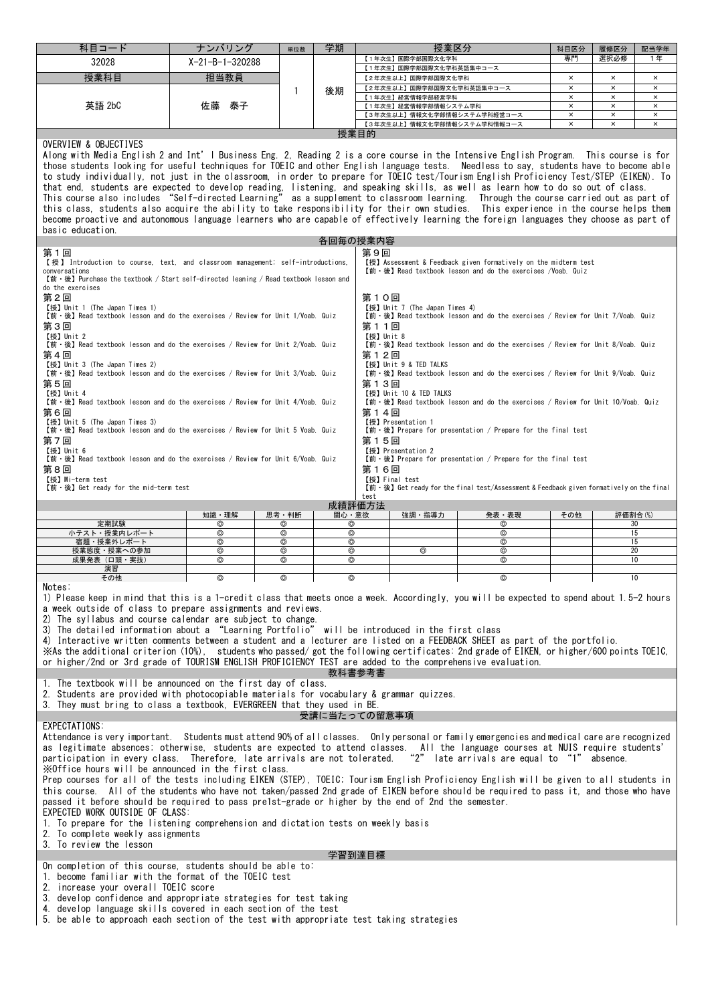| 科目コード                                                                                                                                                                                                                                                                                                                                                                                                                                                                                                                                                                                                                                                                                                                                                                                                                                                                                                                                                                                                                                                                                                                                                                                                                                                                                                                                                                                                                                                                         | ナンバリング          | 単位数                 | 学期              |        | 授業区分                                                       |                 | 科目区分           | 履修区分                      | 配当学年                |
|-------------------------------------------------------------------------------------------------------------------------------------------------------------------------------------------------------------------------------------------------------------------------------------------------------------------------------------------------------------------------------------------------------------------------------------------------------------------------------------------------------------------------------------------------------------------------------------------------------------------------------------------------------------------------------------------------------------------------------------------------------------------------------------------------------------------------------------------------------------------------------------------------------------------------------------------------------------------------------------------------------------------------------------------------------------------------------------------------------------------------------------------------------------------------------------------------------------------------------------------------------------------------------------------------------------------------------------------------------------------------------------------------------------------------------------------------------------------------------|-----------------|---------------------|-----------------|--------|------------------------------------------------------------|-----------------|----------------|---------------------------|---------------------|
| 32028                                                                                                                                                                                                                                                                                                                                                                                                                                                                                                                                                                                                                                                                                                                                                                                                                                                                                                                                                                                                                                                                                                                                                                                                                                                                                                                                                                                                                                                                         | X-21-B-1-320288 |                     |                 |        | 【1年次生】国際学部国際文化学科                                           |                 | 専門             | 選択必修                      | 1年                  |
| 授業科目                                                                                                                                                                                                                                                                                                                                                                                                                                                                                                                                                                                                                                                                                                                                                                                                                                                                                                                                                                                                                                                                                                                                                                                                                                                                                                                                                                                                                                                                          | 担当教員            |                     |                 |        | 【1年次生】国際学部国際文化学科英語集中コース<br>【2年次生以上】国際学部国際文化学科              |                 | $\times$       | $\times$                  | $\pmb{\times}$      |
|                                                                                                                                                                                                                                                                                                                                                                                                                                                                                                                                                                                                                                                                                                                                                                                                                                                                                                                                                                                                                                                                                                                                                                                                                                                                                                                                                                                                                                                                               |                 | 1                   | 後期              |        | 【2年次生以上】国際学部国際文化学科英語集中コース                                  |                 | $\times$       | $\times$                  | $\times$            |
|                                                                                                                                                                                                                                                                                                                                                                                                                                                                                                                                                                                                                                                                                                                                                                                                                                                                                                                                                                                                                                                                                                                                                                                                                                                                                                                                                                                                                                                                               |                 |                     |                 |        | 【1年次生】経営情報学部経営学科                                           |                 | ×              | $\boldsymbol{\mathsf{x}}$ | ×                   |
| 英語 2bC                                                                                                                                                                                                                                                                                                                                                                                                                                                                                                                                                                                                                                                                                                                                                                                                                                                                                                                                                                                                                                                                                                                                                                                                                                                                                                                                                                                                                                                                        | 泰子<br>佐藤        |                     |                 |        | 【1年次生】経営情報学部情報システム学科                                       |                 | $\pmb{\times}$ | $\times$<br>$\times$      | $\times$            |
|                                                                                                                                                                                                                                                                                                                                                                                                                                                                                                                                                                                                                                                                                                                                                                                                                                                                                                                                                                                                                                                                                                                                                                                                                                                                                                                                                                                                                                                                               |                 |                     |                 |        | 【3年次生以上】情報文化学部情報システム学科経営コース<br>【3年次生以上】情報文化学部情報システム学科情報コース |                 | ×<br>$\times$  | $\times$                  | ×<br>$\pmb{\times}$ |
| 授業目的<br>OVERVIEW & OBJECTIVES<br>Along with Media English 2 and Int'l Business Eng. 2, Reading 2 is a core course in the Intensive English Program. This course is for<br>those students looking for useful techniques for TOEIC and other English language tests. Needless to say, students have to become able<br>to study individually, not just in the classroom, in order to prepare for TOEIC test/Tourism English Proficiency Test/STEP (EIKEN). To<br>that end, students are expected to develop reading, listening, and speaking skills, as well as learn how to do so out of class.<br>This course also includes "Self-directed Learning" as a supplement to classroom learning. Through the course carried out as part of<br>this class, students also acquire the ability to take responsibility for their own studies. This experience in the course helps them<br>become proactive and autonomous language learners who are capable of effectively learning the foreign languages they choose as part of<br>basic education.<br>各回毎の授業内容<br>第9回<br>第1回<br>【授】 Introduction to course, text, and classroom management; self-introductions,<br>【授】Assessment & Feedback given formatively on the midterm test<br>conversations<br>【前·後】Read textbook lesson and do the exercises /Voab. Quiz<br>$[\hat{\mathfrak{m}} \cdot \hat{\mathfrak{G}}]$ Purchase the textbook / Start self-directed leaning / Read textbook lesson and<br>do the exercises<br>第2回<br>第10回 |                 |                     |                 |        |                                                            |                 |                |                           |                     |
| 【授】 Unit 1 (The Japan Times 1)<br>【授】Unit 7 (The Japan Times 4)<br>【前·後】 Read textbook lesson and do the exercises / Review for Unit 1/Voab. Quiz<br>【前·後】 Read textbook lesson and do the exercises / Review for Unit 7/Voab. Quiz<br>第3回<br>第11回<br>【授】 Unit 2<br>【授】Unit 8<br>$[\hat{\mathfrak{m}} \cdot \hat{\mathfrak{G}}]$ Read textbook lesson and do the exercises / Review for Unit 2/Voab. Quiz<br>【前·後】 Read textbook lesson and do the exercises / Review for Unit 8/Voab. Quiz<br>第4回<br>第12回<br>【授】Unit 9 & TED TALKS<br>【授】 Unit 3 (The Japan Times 2)<br>$[\hat{m} \cdot \hat{\mathcal{E}}]$ Read textbook lesson and do the exercises / Review for Unit 3/Voab. Quiz<br>【前·後】 Read textbook lesson and do the exercises / Review for Unit 9/Voab. Quiz<br>第5回<br>第13回<br>【授】 Unit 4<br>【授】Unit 10 & TED TALKS<br>$[\hat{m} \cdot \hat{\mathcal{E}}]$ Read textbook lesson and do the exercises / Review for Unit 4/Voab. Quiz<br>【前·後】 Read textbook lesson and do the exercises / Review for Unit 10/Voab. Quiz<br>第6回<br>第14回<br>【授】Unit 5 (The Japan Times 3)<br>【授】Presentation 1                                                                                                                                                                                                                                                                                                                                                                        |                 |                     |                 |        |                                                            |                 |                |                           |                     |
| 【前·後】 Read textbook lesson and do the exercises / Review for Unit 5 Voab. Quiz<br>【前·後】 Prepare for presentation / Prepare for the final test<br>第7回<br>第15回<br>【授】Unit 6<br>【授】Presentation 2<br>【前·後】 Read textbook lesson and do the exercises / Review for Unit 6/Voab. Quiz<br>【前·後】 Prepare for presentation / Prepare for the final test<br>第8回<br>第16回<br>【授】Mi-term test<br>【授】Final test<br>【前·後】 Get ready for the mid-term test<br>【前·後】Get ready for the final test/Assessment & Feedback given formatively on the final<br>test                                                                                                                                                                                                                                                                                                                                                                                                                                                                                                                                                                                                                                                                                                                                                                                                                                                                                                                                 |                 |                     |                 |        |                                                            |                 |                |                           |                     |
|                                                                                                                                                                                                                                                                                                                                                                                                                                                                                                                                                                                                                                                                                                                                                                                                                                                                                                                                                                                                                                                                                                                                                                                                                                                                                                                                                                                                                                                                               | 知識 理解           | 思考·判断               | 関心・意欲           | 成績評価方法 | 強調・指導力                                                     | 発表・表現           | その他            | 評価割合(%)                   |                     |
| 定期試験<br>小テスト・授業内レポート                                                                                                                                                                                                                                                                                                                                                                                                                                                                                                                                                                                                                                                                                                                                                                                                                                                                                                                                                                                                                                                                                                                                                                                                                                                                                                                                                                                                                                                          | ⊚<br>$^{\circ}$ | ⊚<br>⊚              | ⊚<br>⊚          |        |                                                            | ⊚<br>$^{\circ}$ |                | 30                        | 15                  |
| 宿題・授業外レポート                                                                                                                                                                                                                                                                                                                                                                                                                                                                                                                                                                                                                                                                                                                                                                                                                                                                                                                                                                                                                                                                                                                                                                                                                                                                                                                                                                                                                                                                    | $^{\circ}$      | ⊚                   | $^{\circ}$      |        |                                                            | $^{\circ}$      |                |                           | 15                  |
| 授業態度・授業への参加<br>成果発表(口頭・実技)                                                                                                                                                                                                                                                                                                                                                                                                                                                                                                                                                                                                                                                                                                                                                                                                                                                                                                                                                                                                                                                                                                                                                                                                                                                                                                                                                                                                                                                    | ⊚<br>$^{\circ}$ | ⊚<br>$\circledcirc$ | ⊚<br>$^{\circ}$ |        | ⊚                                                          | ⊚<br>$^{\circ}$ |                | 20                        | 10                  |
| 演習                                                                                                                                                                                                                                                                                                                                                                                                                                                                                                                                                                                                                                                                                                                                                                                                                                                                                                                                                                                                                                                                                                                                                                                                                                                                                                                                                                                                                                                                            |                 |                     |                 |        |                                                            |                 |                |                           |                     |
| その他<br>Notes:<br>1) Please keep in mind that this is a 1-credit class that meets once a week. Accordingly, you will be expected to spend about 1.5-2 hours<br>a week outside of class to prepare assignments and reviews.<br>2) The syllabus and course calendar are subject to change.<br>3) The detailed information about a "Learning Portfolio" will be introduced in the first class<br>4) Interactive written comments between a student and a lecturer are listed on a FEEDBACK SHEET as part of the portfolio.<br>imerably the additional criterion (10%), students who passed/got the following certificates: 2nd grade of EIKEN, or higher/600 points TOEIC,<br>or higher/2nd or 3rd grade of TOURISM ENGLISH PROFICIENCY TEST are added to the comprehensive evaluation.<br>教科書参考書                                                                                                                                                                                                                                                                                                                                                                                                                                                                                                                                                                                                                                                                                 |                 |                     |                 |        |                                                            |                 |                |                           |                     |
| 1. The textbook will be announced on the first day of class.<br>2. Students are provided with photocopiable materials for vocabulary & grammar quizzes.<br>3. They must bring to class a textbook. EVERGREEN that they used in BE.                                                                                                                                                                                                                                                                                                                                                                                                                                                                                                                                                                                                                                                                                                                                                                                                                                                                                                                                                                                                                                                                                                                                                                                                                                            |                 |                     |                 |        |                                                            |                 |                |                           |                     |
| 受講に当たっての留意事項<br>EXPECTATIONS:<br>Attendance is very important. Students must attend 90% of all classes. Only personal or family emergencies and medical care are recognized<br>as legitimate absences; otherwise, students are expected to attend classes. All the language courses at NUIS require students'<br>participation in every class. Therefore, late arrivals are not tolerated. "2" late arrivals are equal to "1" absence.<br>XOffice hours will be announced in the first class.<br>Prep courses for all of the tests including EIKEN (STEP), TOEIC; Tourism English Proficiency English will be given to all students in<br>this course. All of the students who have not taken/passed 2nd grade of EIKEN before should be required to pass it, and those who have<br>passed it before should be required to pass pre1st-grade or higher by the end of 2nd the semester.<br>EXPECTED WORK OUTSIDE OF CLASS:<br>1. To prepare for the listening comprehension and dictation tests on weekly basis<br>2. To complete weekly assignments<br>3. To review the lesson<br>学習到達目標<br>On completion of this course, students should be able to:                                                                                                                                                                                                                                                                                                                         |                 |                     |                 |        |                                                            |                 |                |                           |                     |
| 1. become familiar with the format of the TOEIC test<br>2. increase your overall TOEIC score<br>3. develop confidence and appropriate strategies for test taking<br>4. develop language skills covered in each section of the test<br>5. be able to approach each section of the test with appropriate test taking strategies                                                                                                                                                                                                                                                                                                                                                                                                                                                                                                                                                                                                                                                                                                                                                                                                                                                                                                                                                                                                                                                                                                                                                 |                 |                     |                 |        |                                                            |                 |                |                           |                     |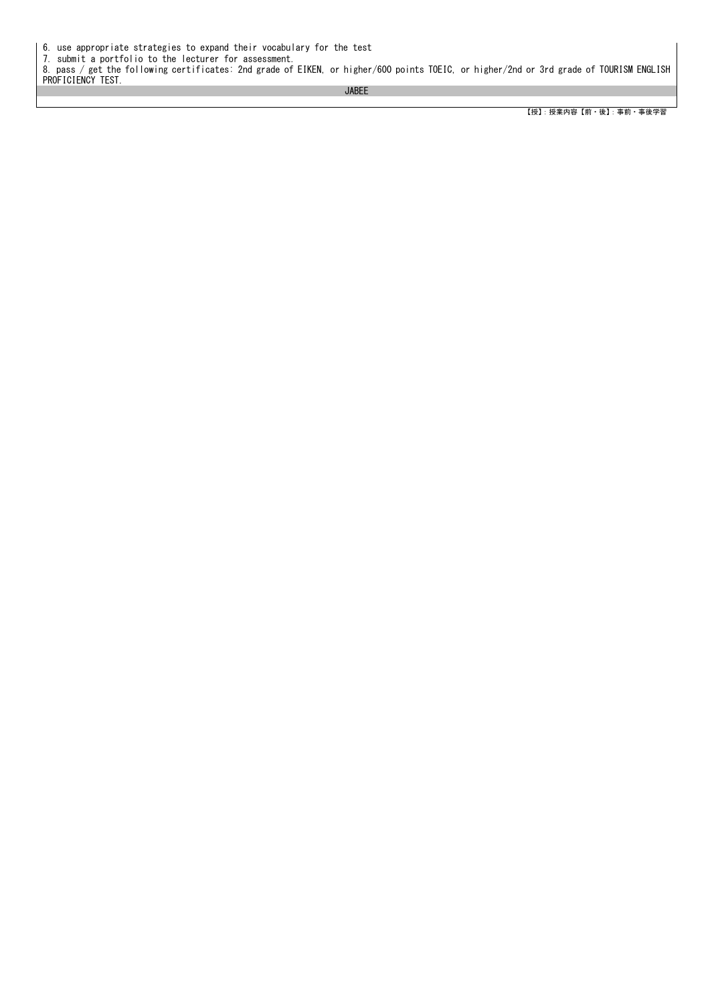6. use appropriate strategies to expand their vocabulary for the test

7. submit a portfolio to the lecturer for assessment. 8. pass / get the following certificates: 2nd grade of EIKEN, or higher/600 points TOEIC, or higher/2nd or 3rd grade of TOURISM ENGLISH PROFICIENCY TEST.